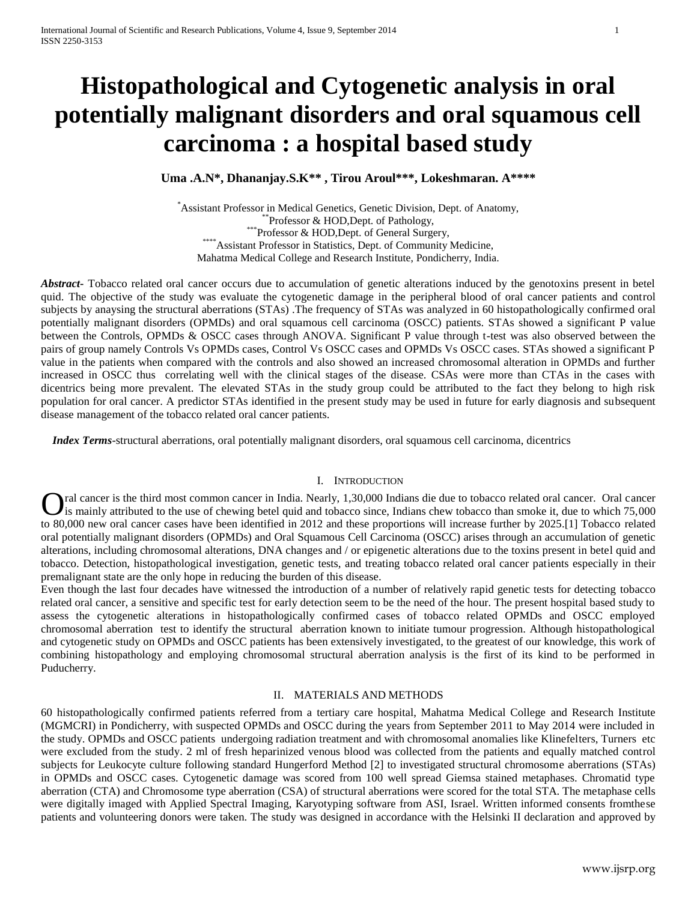# **Histopathological and Cytogenetic analysis in oral potentially malignant disorders and oral squamous cell carcinoma : a hospital based study**

**Uma .A.N\*, Dhananjay.S.K\*\* , Tirou Aroul\*\*\*, Lokeshmaran. A\*\*\*\***

\*Assistant Professor in Medical Genetics, Genetic Division, Dept. of Anatomy, \*\*Professor & HOD,Dept. of Pathology, \*\*\*Professor & HOD,Dept. of General Surgery, \*\*\*\*Assistant Professor in Statistics, Dept. of Community Medicine, Mahatma Medical College and Research Institute, Pondicherry, India.

*Abstract***-** Tobacco related oral cancer occurs due to accumulation of genetic alterations induced by the genotoxins present in betel quid. The objective of the study was evaluate the cytogenetic damage in the peripheral blood of oral cancer patients and control subjects by anaysing the structural aberrations (STAs) .The frequency of STAs was analyzed in 60 histopathologically confirmed oral potentially malignant disorders (OPMDs) and oral squamous cell carcinoma (OSCC) patients. STAs showed a significant P value between the Controls, OPMDs & OSCC cases through ANOVA. Significant P value through t-test was also observed between the pairs of group namely Controls Vs OPMDs cases, Control Vs OSCC cases and OPMDs Vs OSCC cases. STAs showed a significant P value in the patients when compared with the controls and also showed an increased chromosomal alteration in OPMDs and further increased in OSCC thus correlating well with the clinical stages of the disease. CSAs were more than CTAs in the cases with dicentrics being more prevalent. The elevated STAs in the study group could be attributed to the fact they belong to high risk population for oral cancer. A predictor STAs identified in the present study may be used in future for early diagnosis and subsequent disease management of the tobacco related oral cancer patients.

 *Index Terms*-structural aberrations, oral potentially malignant disorders, oral squamous cell carcinoma, dicentrics

## I. INTRODUCTION

ral cancer is the third most common cancer in India. Nearly, 1,30,000 Indians die due to tobacco related oral cancer. Oral cancer is mainly attributed to the use of chewing betel quid and tobacco since, Indians chew tobacco than smoke it, due to which 75,000 **O**ral cancer is the third most common cancer in India. Nearly, 1,30,000 Indians die due to tobacco related oral cancer. Oral cancer is mainly attributed to the use of chewing betel quid and tobacco since, Indians chew tob oral potentially malignant disorders (OPMDs) and Oral Squamous Cell Carcinoma (OSCC) arises through an accumulation of genetic alterations, including chromosomal alterations, DNA changes and / or epigenetic alterations due to the toxins present in betel quid and tobacco. Detection, histopathological investigation, genetic tests, and treating tobacco related oral cancer patients especially in their premalignant state are the only hope in reducing the burden of this disease.

Even though the last four decades have witnessed the introduction of a number of relatively rapid genetic tests for detecting tobacco related oral cancer, a sensitive and specific test for early detection seem to be the need of the hour. The present hospital based study to assess the cytogenetic alterations in histopathologically confirmed cases of tobacco related OPMDs and OSCC employed chromosomal aberration test to identify the structural aberration known to initiate tumour progression. Although histopathological and cytogenetic study on OPMDs and OSCC patients has been extensively investigated, to the greatest of our knowledge, this work of combining histopathology and employing chromosomal structural aberration analysis is the first of its kind to be performed in Puducherry.

# II. MATERIALS AND METHODS

60 histopathologically confirmed patients referred from a tertiary care hospital, Mahatma Medical College and Research Institute (MGMCRI) in Pondicherry, with suspected OPMDs and OSCC during the years from September 2011 to May 2014 were included in the study. OPMDs and OSCC patients undergoing radiation treatment and with chromosomal anomalies like Klinefelters, Turners etc were excluded from the study. 2 ml of fresh heparinized venous blood was collected from the patients and equally matched control subjects for Leukocyte culture following standard Hungerford Method [2] to investigated structural chromosome aberrations (STAs) in OPMDs and OSCC cases. Cytogenetic damage was scored from 100 well spread Giemsa stained metaphases. Chromatid type aberration (CTA) and Chromosome type aberration (CSA) of structural aberrations were scored for the total STA. The metaphase cells were digitally imaged with Applied Spectral Imaging, Karyotyping software from ASI, Israel. Written informed consents fromthese patients and volunteering donors were taken. The study was designed in accordance with the Helsinki II declaration and approved by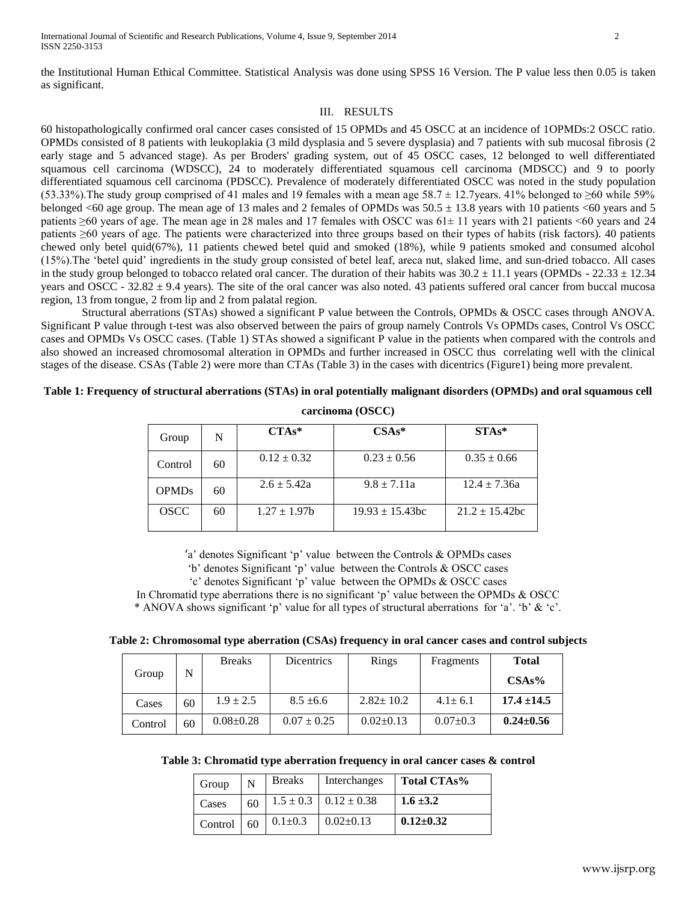the Institutional Human Ethical Committee. Statistical Analysis was done using SPSS 16 Version. The P value less then 0.05 is taken as significant.

# III. RESULTS

60 histopathologically confirmed oral cancer cases consisted of 15 OPMDs and 45 OSCC at an incidence of 1OPMDs:2 OSCC ratio. OPMDs consisted of 8 patients with leukoplakia (3 mild dysplasia and 5 severe dysplasia) and 7 patients with sub mucosal fibrosis (2 early stage and 5 advanced stage). As per Broders' grading system, out of 45 OSCC cases, 12 belonged to well differentiated squamous cell carcinoma (WDSCC), 24 to moderately differentiated squamous cell carcinoma (MDSCC) and 9 to poorly differentiated squamous cell carcinoma (PDSCC). Prevalence of moderately differentiated OSCC was noted in the study population (53.33%). The study group comprised of 41 males and 19 females with a mean age  $58.7 \pm 12.7$ years. 41% belonged to ≥60 while 59% belonged <60 age group. The mean age of 13 males and 2 females of OPMDs was  $50.5 \pm 13.8$  years with 10 patients <60 years and 5 patients ≥60 years of age. The mean age in 28 males and 17 females with OSCC was 61± 11 years with 21 patients <60 years and 24 patients ≥60 years of age. The patients were characterized into three groups based on their types of habits (risk factors). 40 patients chewed only betel quid(67%), 11 patients chewed betel quid and smoked (18%), while 9 patients smoked and consumed alcohol (15%).The "betel quid" ingredients in the study group consisted of betel leaf, areca nut, slaked lime, and sun-dried tobacco. All cases in the study group belonged to tobacco related oral cancer. The duration of their habits was  $30.2 \pm 11.1$  years (OPMDs - 22.33  $\pm 12.34$ ) years and OSCC -  $32.82 \pm 9.4$  years). The site of the oral cancer was also noted. 43 patients suffered oral cancer from buccal mucosa region, 13 from tongue, 2 from lip and 2 from palatal region.

Structural aberrations (STAs) showed a significant P value between the Controls, OPMDs & OSCC cases through ANOVA. Significant P value through t-test was also observed between the pairs of group namely Controls Vs OPMDs cases, Control Vs OSCC cases and OPMDs Vs OSCC cases. (Table 1) STAs showed a significant P value in the patients when compared with the controls and also showed an increased chromosomal alteration in OPMDs and further increased in OSCC thus correlating well with the clinical stages of the disease. CSAs (Table 2) were more than CTAs (Table 3) in the cases with dicentrics (Figure1) being more prevalent.

# **Table 1: Frequency of structural aberrations (STAs) in oral potentially malignant disorders (OPMDs) and oral squamous cell**

| Group        | N  | $CTAs*$         | $CSAs*$            | $STAs*$             |
|--------------|----|-----------------|--------------------|---------------------|
| Control      | 60 | $0.12 \pm 0.32$ | $0.23 \pm 0.56$    | $0.35 \pm 0.66$     |
| <b>OPMDs</b> | 60 | $2.6 \pm 5.42a$ | $9.8 \pm 7.11a$    | $12.4 \pm 7.36a$    |
| <b>OSCC</b>  | 60 | $1.27 \pm 1.97$ | $19.93 + 15.43$ bc | $21.2 \pm 15.42$ bc |

**carcinoma (OSCC)**

'a' denotes Significant 'p' value between the Controls  $& OPMDs$  cases

"b" denotes Significant "p" value between the Controls & OSCC cases

"c" denotes Significant "p" value between the OPMDs & OSCC cases

In Chromatid type aberrations there is no significant 'p' value between the OPMDs  $&$  OSCC

\* ANOVA shows significant 'p' value for all types of structural aberrations for 'a'. 'b'  $\&$  'c'.

| Table 2: Chromosomal type aberration (CSAs) frequency in oral cancer cases and control subjects |  |  |  |  |  |
|-------------------------------------------------------------------------------------------------|--|--|--|--|--|
|-------------------------------------------------------------------------------------------------|--|--|--|--|--|

| Group   | N  | <b>Breaks</b>   | Dicentrics      | Rings           | Fragments      | <b>Total</b><br>CSAs% |
|---------|----|-----------------|-----------------|-----------------|----------------|-----------------------|
| Cases   | 60 | $1.9 \pm 2.5$   | $8.5 \pm 6.6$   | $2.82 \pm 10.2$ | $4.1 \pm 6.1$  | $17.4 \pm 14.5$       |
| Control | 60 | $0.08 \pm 0.28$ | $0.07 \pm 0.25$ | $0.02+0.13$     | $0.07 \pm 0.3$ | $0.24 \pm 0.56$       |

| Table 3: Chromatid type aberration frequency in oral cancer cases & control |  |  |
|-----------------------------------------------------------------------------|--|--|
|                                                                             |  |  |

| Group   | N  | <b>Breaks</b> | Interchanges                    | Total CTAs%     |
|---------|----|---------------|---------------------------------|-----------------|
| Cases   | 60 |               | $1.5 \pm 0.3$   $0.12 \pm 0.38$ | $1.6 \pm 3.2$   |
| Control | 60 | $0.1 + 0.3$   | $0.02+0.13$                     | $0.12{\pm}0.32$ |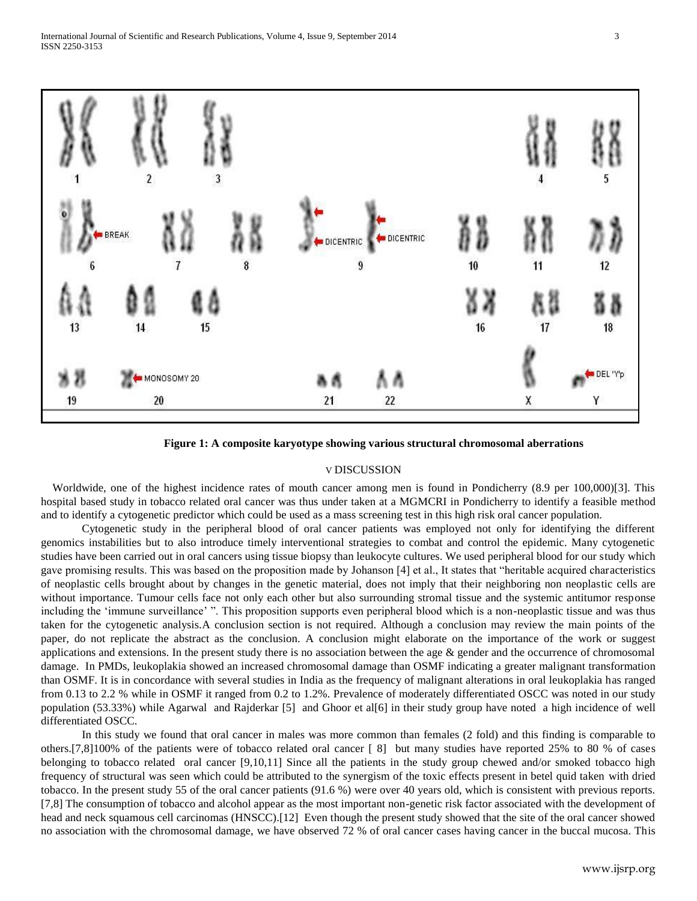

**Figure 1: A composite karyotype showing various structural chromosomal aberrations**

# V DISCUSSION

Worldwide, one of the highest incidence rates of mouth cancer among men is found in Pondicherry (8.9 per 100,000)[3]. This hospital based study in tobacco related oral cancer was thus under taken at a MGMCRI in Pondicherry to identify a feasible method and to identify a cytogenetic predictor which could be used as a mass screening test in this high risk oral cancer population.

Cytogenetic study in the peripheral blood of oral cancer patients was employed not only for identifying the different genomics instabilities but to also introduce timely interventional strategies to combat and control the epidemic. Many cytogenetic studies have been carried out in oral cancers using tissue biopsy than leukocyte cultures. We used peripheral blood for our study which gave promising results. This was based on the proposition made by Johanson [4] et al., It states that "heritable acquired characteristics of neoplastic cells brought about by changes in the genetic material, does not imply that their neighboring non neoplastic cells are without importance. Tumour cells face not only each other but also surrounding stromal tissue and the systemic antitumor response including the 'immune surveillance'". This proposition supports even peripheral blood which is a non-neoplastic tissue and was thus taken for the cytogenetic analysis.A conclusion section is not required. Although a conclusion may review the main points of the paper, do not replicate the abstract as the conclusion. A conclusion might elaborate on the importance of the work or suggest applications and extensions. In the present study there is no association between the age  $\&$  gender and the occurrence of chromosomal damage. In PMDs, leukoplakia showed an increased chromosomal damage than OSMF indicating a greater malignant transformation than OSMF. It is in concordance with several studies in India as the frequency of malignant alterations in oral leukoplakia has ranged from 0.13 to 2.2 % while in OSMF it ranged from 0.2 to 1.2%. Prevalence of moderately differentiated OSCC was noted in our study population (53.33%) while Agarwal and Rajderkar [5] and Ghoor et al[6] in their study group have noted a high incidence of well differentiated OSCC.

In this study we found that oral cancer in males was more common than females (2 fold) and this finding is comparable to others.[7,8]100% of the patients were of tobacco related oral cancer [ 8] but many studies have reported 25% to 80 % of cases belonging to tobacco related oral cancer [9,10,11] Since all the patients in the study group chewed and/or smoked tobacco high frequency of structural was seen which could be attributed to the synergism of the toxic effects present in betel quid taken with dried tobacco. In the present study 55 of the oral cancer patients (91.6 %) were over 40 years old, which is consistent with previous reports. [7,8] The consumption of tobacco and alcohol appear as the most important non-genetic risk factor associated with the development of head and neck squamous cell carcinomas (HNSCC).<sup>[12]</sup> Even though the present study showed that the site of the oral cancer showed no association with the chromosomal damage, we have observed 72 % of oral cancer cases having cancer in the buccal mucosa. This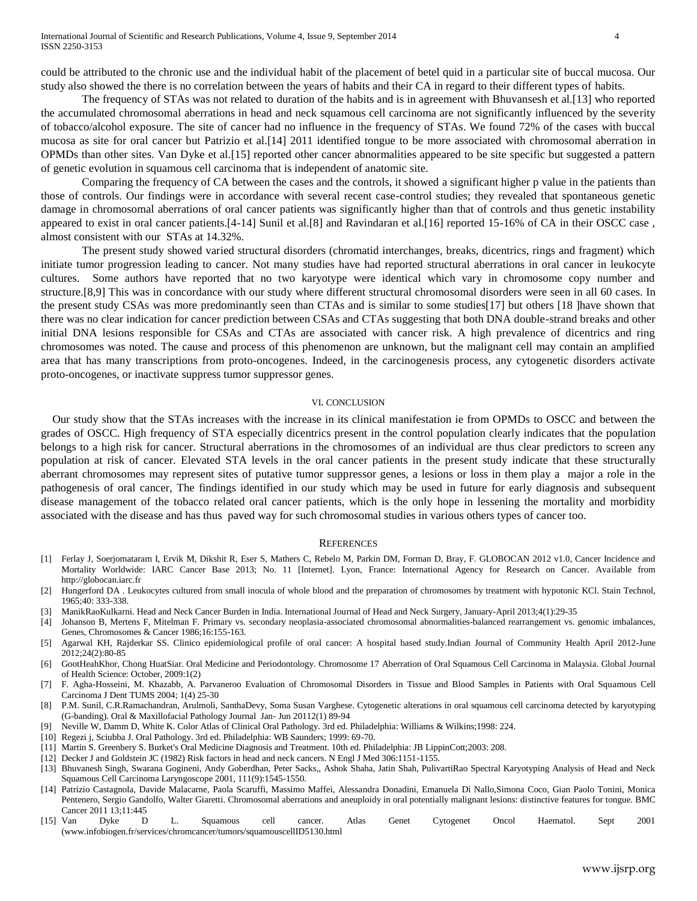could be attributed to the chronic use and the individual habit of the placement of betel quid in a particular site of buccal mucosa. Our study also showed the there is no correlation between the years of habits and their CA in regard to their different types of habits.

The frequency of STAs was not related to duration of the habits and is in agreement with Bhuvansesh et al.[13] who reported the accumulated chromosomal aberrations in head and neck squamous cell carcinoma are not significantly influenced by the severity of tobacco/alcohol exposure. The site of cancer had no influence in the frequency of STAs. We found 72% of the cases with buccal mucosa as site for oral cancer but Patrizio et al.[14] 2011 identified tongue to be more associated with chromosomal aberration in OPMDs than other sites. Van Dyke et al.[15] reported other cancer abnormalities appeared to be site specific but suggested a pattern of genetic evolution in squamous cell carcinoma that is independent of anatomic site.

Comparing the frequency of CA between the cases and the controls, it showed a significant higher p value in the patients than those of controls. Our findings were in accordance with several recent case-control studies; they revealed that spontaneous genetic damage in chromosomal aberrations of oral cancer patients was significantly higher than that of controls and thus genetic instability appeared to exist in oral cancer patients.[4-14] Sunil et al.[8] and Ravindaran et al.[16] reported 15-16% of CA in their OSCC case , almost consistent with our STAs at 14.32%.

The present study showed varied structural disorders (chromatid interchanges, breaks, dicentrics, rings and fragment) which initiate tumor progression leading to cancer. Not many studies have had reported structural aberrations in oral cancer in leukocyte cultures. Some authors have reported that no two karyotype were identical which vary in chromosome copy number and structure.[8,9] This was in concordance with our study where different structural chromosomal disorders were seen in all 60 cases. In the present study CSAs was more predominantly seen than CTAs and is similar to some studies[17] but others [18 ]have shown that there was no clear indication for cancer prediction between CSAs and CTAs suggesting that both DNA double-strand breaks and other initial DNA lesions responsible for CSAs and CTAs are associated with cancer risk. A high prevalence of dicentrics and ring chromosomes was noted. The cause and process of this phenomenon are unknown, but the malignant cell may contain an amplified area that has many transcriptions from proto-oncogenes. Indeed, in the carcinogenesis process, any cytogenetic disorders activate proto-oncogenes, or inactivate suppress tumor suppressor genes.

#### VI. CONCLUSION

Our study show that the STAs increases with the increase in its clinical manifestation ie from OPMDs to OSCC and between the grades of OSCC. High frequency of STA especially dicentrics present in the control population clearly indicates that the population belongs to a high risk for cancer. Structural aberrations in the chromosomes of an individual are thus clear predictors to screen any population at risk of cancer. Elevated STA levels in the oral cancer patients in the present study indicate that these structurally aberrant chromosomes may represent sites of putative tumor suppressor genes, a lesions or loss in them play a major a role in the pathogenesis of oral cancer, The findings identified in our study which may be used in future for early diagnosis and subsequent disease management of the tobacco related oral cancer patients, which is the only hope in lessening the mortality and morbidity associated with the disease and has thus paved way for such chromosomal studies in various others types of cancer too.

#### **REFERENCES**

- [1] Ferlay J, Soerjomataram I, Ervik M, Dikshit R, Eser S, Mathers C, Rebelo M, Parkin DM, Forman D, Bray, F. GLOBOCAN 2012 v1.0, Cancer Incidence and Mortality Worldwide: IARC Cancer Base 2013; No. 11 [Internet]. Lyon, France: International Agency for Research on Cancer. Available from http://globocan.iarc.fr
- [2] Hungerford DA . Leukocytes cultured from small inocula of whole blood and the preparation of chromosomes by treatment with hypotonic KCl. Stain Technol, 1965;40: 333-338.
- [3] ManikRaoKulkarni. Head and Neck Cancer Burden in India. International Journal of Head and Neck Surgery, January-April 2013;4(1):29-35
- [4] Johanson B, Mertens F, Mitelman F. Primary vs. secondary neoplasia-associated chromosomal abnormalities-balanced rearrangement vs. genomic imbalances, Genes, Chromosomes & Cancer 1986;16:155-163.
- [5] Agarwal KH, Rajderkar SS. Clinico epidemiological profile of oral cancer: A hospital based study.Indian Journal of Community Health April 2012-June 2012;24(2):80-85
- [6] GootHeahKhor, Chong HuatSiar. Oral Medicine and Periodontology. Chromosome 17 Aberration of Oral Squamous Cell Carcinoma in Malaysia. Global Journal of Health Science: October, 2009:1(2)
- [7] F. Agha-Hosseini, M. Khazabb, A. Parvaneroo Evaluation of Chromosomal Disorders in Tissue and Blood Samples in Patients with Oral Squamous Cell Carcinoma J Dent TUMS 2004; 1(4) 25-30
- [8] P.M. Sunil, C.R.Ramachandran, Arulmoli, SanthaDevy, Soma Susan Varghese. Cytogenetic alterations in oral squamous cell carcinoma detected by karyotyping (G-banding). Oral & Maxillofacial Pathology Journal Jan- Jun 20112(1) 89-94
- [9] Neville W, Damm D, White K. Color Atlas of Clinical Oral Pathology. 3rd ed. Philadelphia: Williams & Wilkins;1998: 224.
- [10] Regezi j, Sciubba J. Oral Pathology. 3rd ed. Philadelphia: WB Saunders; 1999: 69-70.
- [11] Martin S. Greenbery S. Burket's Oral Medicine Diagnosis and Treatment. 10th ed. Philadelphia: JB LippinCott;2003: 208.
- [12] Decker J and Goldstein JC (1982) Risk factors in head and neck cancers. N Engl J Med 306:1151-1155.
- [13] Bhuvanesh Singh, Swarana Gogineni, Andy Goberdhan, Peter Sacks,, Ashok Shaha, Jatin Shah, PulivartiRao Spectral Karyotyping Analysis of Head and Neck Squamous Cell Carcinoma Laryngoscope 2001, 111(9):1545-1550.
- [14] Patrizio Castagnola, Davide Malacarne, Paola Scaruffi, Massimo Maffei, Alessandra Donadini, Emanuela Di Nallo,Simona Coco, Gian Paolo Tonini, Monica Pentenero, Sergio Gandolfo, Walter Giaretti. Chromosomal aberrations and aneuploidy in oral potentially malignant lesions: distinctive features for tongue. BMC Cancer 2011 13;11:445
- [15] Van Dyke D L. Squamous cell cancer. Atlas Genet Cytogenet Oncol Haematol. Sept 2001 (www.infobiogen.fr/services/chromcancer/tumors/squamouscellID5130.html